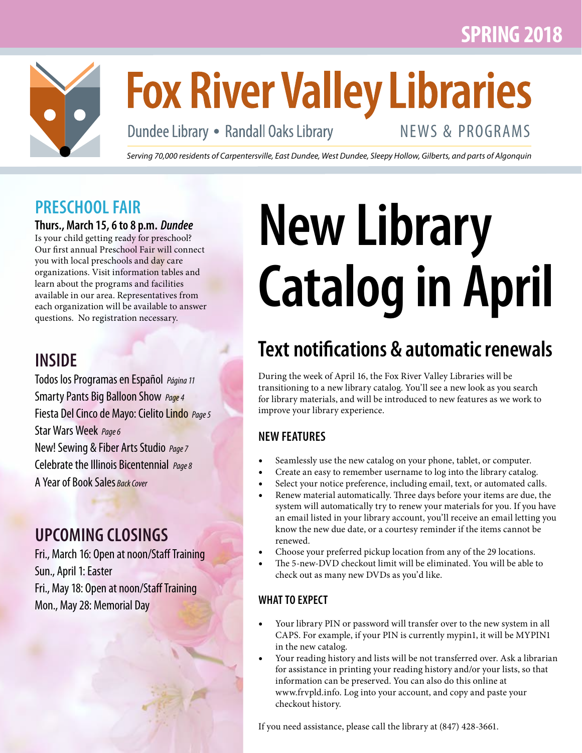# **SPRING 2018**



# **Fox River Valley Libraries**

Dundee Library • Randall Oaks Library

# NEWS & PROGRAMS

*Serving 70,000 residents of Carpentersville, East Dundee, West Dundee, Sleepy Hollow, Gilberts, and parts of Algonquin*

# **PRESCHOOL FAIR**

#### **Thurs., March 15, 6 to 8 p.m.** *Dundee*

Is your child getting ready for preschool? Our first annual Preschool Fair will connect you with local preschools and day care organizations. Visit information tables and learn about the programs and facilities available in our area. Representatives from each organization will be available to answer questions. No registration necessary.

# **INSIDE**

Todos los Programas en Español *Página 11* Smarty Pants Big Balloon Show *Page 4* Fiesta Del Cinco de Mayo: Cielito Lindo *Page 5* Star Wars Week *Page 6* New! Sewing & Fiber Arts Studio *Page 7* Celebrate the Illinois Bicentennial *Page 8* A Year of Book Sales *Back Cover*

# **UPCOMING CLOSINGS**

Fri., March 16: Open at noon/Staff Training Sun., April 1: Easter Fri., May 18: Open at noon/Staff Training Mon., May 28: Memorial Day

# **New Library Catalog in April**

# **Text notifications & automatic renewals**

During the week of April 16, the Fox River Valley Libraries will be transitioning to a new library catalog. You'll see a new look as you search for library materials, and will be introduced to new features as we work to improve your library experience.

### **NEW FEATURES**

- Seamlessly use the new catalog on your phone, tablet, or computer.
- Create an easy to remember username to log into the library catalog.
- Select your notice preference, including email, text, or automated calls.
- Renew material automatically. Three days before your items are due, the system will automatically try to renew your materials for you. If you have an email listed in your library account, you'll receive an email letting you know the new due date, or a courtesy reminder if the items cannot be renewed.
- Choose your preferred pickup location from any of the 29 locations.
- The 5-new-DVD checkout limit will be eliminated. You will be able to check out as many new DVDs as you'd like.

#### **WHAT TO EXPECT**

- Your library PIN or password will transfer over to the new system in all CAPS. For example, if your PIN is currently mypin1, it will be MYPIN1 in the new catalog.
- Your reading history and lists will be not transferred over. Ask a librarian for assistance in printing your reading history and/or your lists, so that information can be preserved. You can also do this online at www.frvpld.info. Log into your account, and copy and paste your checkout history.

If you need assistance, please call the library at (847) 428-3661.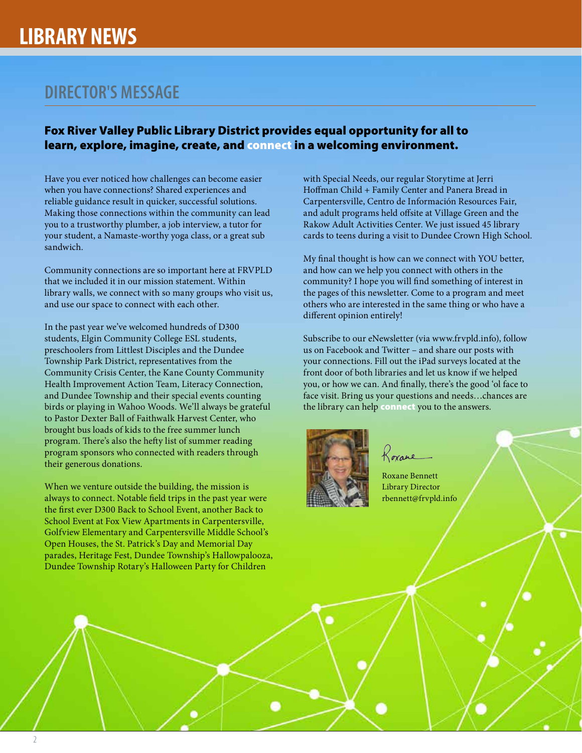### **DIRECTOR'S MESSAGE**

#### Fox River Valley Public Library District provides equal opportunity for all to learn, explore, imagine, create, and connect in a welcoming environment.

Have you ever noticed how challenges can become easier when you have connections? Shared experiences and reliable guidance result in quicker, successful solutions. Making those connections within the community can lead you to a trustworthy plumber, a job interview, a tutor for your student, a Namaste-worthy yoga class, or a great sub sandwich.

Community connections are so important here at FRVPLD that we included it in our mission statement. Within library walls, we connect with so many groups who visit us, and use our space to connect with each other.

In the past year we've welcomed hundreds of D300 students, Elgin Community College ESL students, preschoolers from Littlest Disciples and the Dundee Township Park District, representatives from the Community Crisis Center, the Kane County Community Health Improvement Action Team, Literacy Connection, and Dundee Township and their special events counting birds or playing in Wahoo Woods. We'll always be grateful to Pastor Dexter Ball of Faithwalk Harvest Center, who brought bus loads of kids to the free summer lunch program. There's also the hefty list of summer reading program sponsors who connected with readers through their generous donations.

When we venture outside the building, the mission is always to connect. Notable field trips in the past year were the first ever D300 Back to School Event, another Back to School Event at Fox View Apartments in Carpentersville, Golfview Elementary and Carpentersville Middle School's Open Houses, the St. Patrick's Day and Memorial Day parades, Heritage Fest, Dundee Township's Hallowpalooza, Dundee Township Rotary's Halloween Party for Children

with Special Needs, our regular Storytime at Jerri Hoffman Child + Family Center and Panera Bread in Carpentersville, Centro de Información Resources Fair, and adult programs held offsite at Village Green and the Rakow Adult Activities Center. We just issued 45 library cards to teens during a visit to Dundee Crown High School.

My final thought is how can we connect with YOU better, and how can we help you connect with others in the community? I hope you will find something of interest in the pages of this newsletter. Come to a program and meet others who are interested in the same thing or who have a different opinion entirely!

Subscribe to our eNewsletter (via www.frvpld.info), follow us on Facebook and Twitter – and share our posts with your connections. Fill out the iPad surveys located at the front door of both libraries and let us know if we helped you, or how we can. And finally, there's the good 'ol face to face visit. Bring us your questions and needs…chances are the library can help connect you to the answers.



Roxane

Roxane Bennett Library Director rbennett@frvpld.info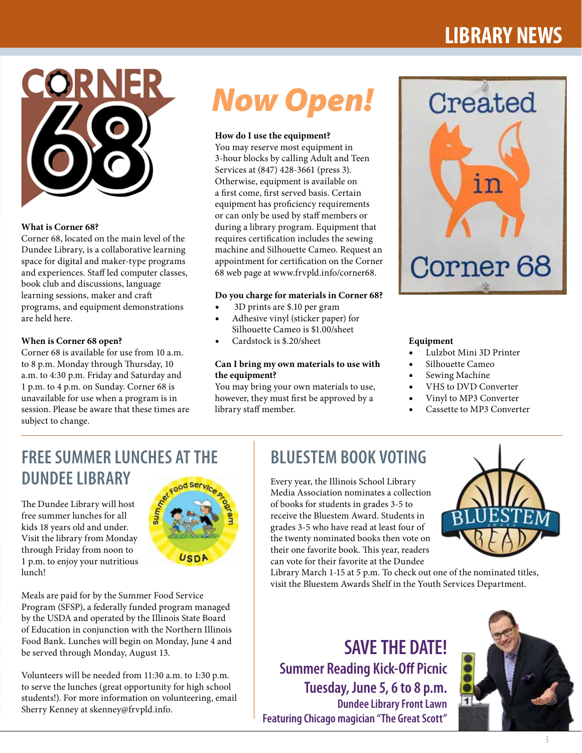# **LIBRARY NEWS**



#### **What is Corner 68?**

Corner 68, located on the main level of the Dundee Library, is a collaborative learning space for digital and maker-type programs and experiences. Staff led computer classes, book club and discussions, language learning sessions, maker and craft programs, and equipment demonstrations are held here.

#### **When is Corner 68 open?**

Corner 68 is available for use from 10 a.m. to 8 p.m. Monday through Thursday, 10 a.m. to 4:30 p.m. Friday and Saturday and 1 p.m. to 4 p.m. on Sunday. Corner 68 is unavailable for use when a program is in session. Please be aware that these times are subject to change.

# *Now Open!*

#### **How do I use the equipment?**

You may reserve most equipment in 3-hour blocks by calling Adult and Teen Services at (847) 428-3661 (press 3). Otherwise, equipment is available on a first come, first served basis. Certain equipment has proficiency requirements or can only be used by staff members or during a library program. Equipment that requires certification includes the sewing machine and Silhouette Cameo. Request an appointment for certification on the Corner 68 web page at www.frvpld.info/corner68.

#### **Do you charge for materials in Corner 68?**

- 3D prints are \$.10 per gram
- Adhesive vinyl (sticker paper) for Silhouette Cameo is \$1.00/sheet
- Cardstock is \$.20/sheet

#### **Can I bring my own materials to use with the equipment?**

You may bring your own materials to use, however, they must first be approved by a library staff member.



#### **Equipment**

- Lulzbot Mini 3D Printer
- Silhouette Cameo
- Sewing Machine
- VHS to DVD Converter
- Vinyl to MP3 Converter
- Cassette to MP3 Converter

# **FREE SUMMER LUNCHES AT THE DUNDEE LIBRARY**

Meals are paid for by the Summer Food Service Program (SFSP), a federally funded program managed by the USDA and operated by the Illinois State Board of Education in conjunction with the Northern Illinois Food Bank. Lunches will begin on Monday, June 4 and

Volunteers will be needed from 11:30 a.m. to 1:30 p.m. to serve the lunches (great opportunity for high school students!). For more information on volunteering, email

be served through Monday, August 13.

Sherry Kenney at skenney@frvpld.info.

The Dundee Library will host free summer lunches for all kids 18 years old and under. Visit the library from Monday through Friday from noon to 1 p.m. to enjoy your nutritious lunch!



# **BLUESTEM BOOK VOTING**

Every year, the Illinois School Library Media Association nominates a collection of books for students in grades 3-5 to receive the Bluestem Award. Students in grades 3-5 who have read at least four of the twenty nominated books then vote on their one favorite book. This year, readers can vote for their favorite at the Dundee



Library March 1-15 at 5 p.m. To check out one of the nominated titles, visit the Bluestem Awards Shelf in the Youth Services Department.

**SAVE THE DATE! Summer Reading Kick-Off Picnic Tuesday, June 5, 6 to 8 p.m. Dundee Library Front Lawn Featuring Chicago magician "The Great Scott"**



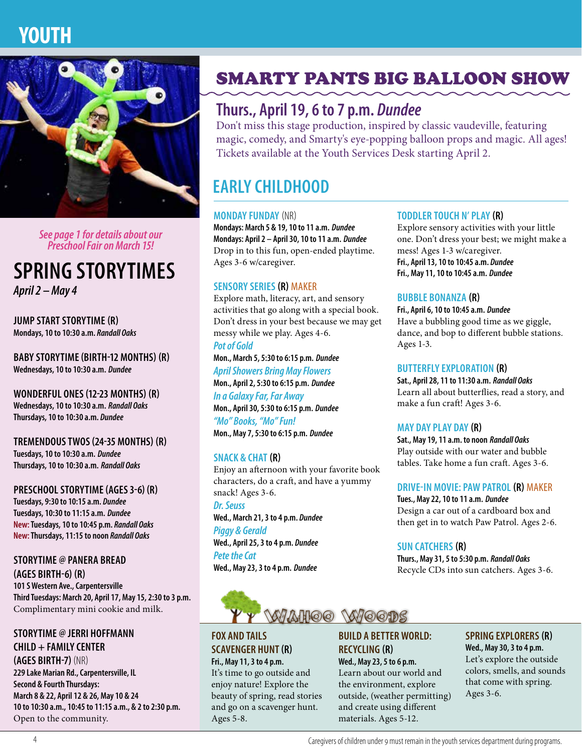

*See page 1 for details about our Preschool Fair on March 15!*

# **SPRING STORYTIMES**

*April 2 – May 4*

**JUMP START STORYTIME (R) Mondays, 10 to 10:30 a.m.** *Randall Oaks*

**BABY STORYTIME (BIRTH-12 MONTHS) (R) Wednesdays, 10 to 10:30 a.m.** *Dundee*

**WONDERFUL ONES (12-23 MONTHS) (R) Wednesdays, 10 to 10:30 a.m.** *Randall Oaks* **Thursdays, 10 to 10:30 a.m.** *Dundee*

**TREMENDOUS TWOS (24-35 MONTHS) (R) Tuesdays, 10 to 10:30 a.m.** *Dundee* **Thursdays, 10 to 10:30 a.m.** *Randall Oaks*

**PRESCHOOL STORYTIME (AGES 3-6) (R) Tuesdays, 9:30 to 10:15 a.m.** *Dundee* **Tuesdays, 10:30 to 11:15 a.m.** *Dundee* **New: Tuesdays, 10 to 10:45 p.m.** *Randall Oaks* **New: Thursdays, 11:15 to noon** *Randall Oaks*

**STORYTIME @ PANERA BREAD (AGES BIRTH-6) (R) 101 S Western Ave., Carpentersville Third Tuesdays: March 20, April 17, May 15, 2:30 to 3 p.m.** Complimentary mini cookie and milk.

#### **STORYTIME @ JERRI HOFFMANN CHILD + FAMILY CENTER (AGES BIRTH-7)** (NR) **229 Lake Marian Rd., Carpentersville, IL Second & Fourth Thursdays:**

**March 8 & 22, April 12 & 26, May 10 & 24 10 to 10:30 a.m., 10:45 to 11:15 a.m., & 2 to 2:30 p.m.** Open to the community.

# SMARTY PANTS BIG BALLOON SHOW

# **Thurs., April 19, 6 to 7 p.m.** *Dundee*

Don't miss this stage production, inspired by classic vaudeville, featuring magic, comedy, and Smarty's eye-popping balloon props and magic. All ages! Tickets available at the Youth Services Desk starting April 2.

# **EARLY CHILDHOOD**

#### **MONDAY FUNDAY** (NR)

**Mondays: March 5 & 19, 10 to 11 a.m.** *Dundee* **Mondays: April 2 – April 30, 10 to 11 a.m.** *Dundee* Drop in to this fun, open-ended playtime. Ages 3-6 w/caregiver.

#### **SENSORY SERIES (R)** MAKER

Explore math, literacy, art, and sensory activities that go along with a special book. Don't dress in your best because we may get messy while we play. Ages 4-6.

*Pot of Gold* **Mon., March 5, 5:30 to 6:15 p.m.** *Dundee April Showers Bring May Flowers* **Mon., April 2, 5:30 to 6:15 p.m.** *Dundee*

*In a Galaxy Far, Far Away*  **Mon., April 30, 5:30 to 6:15 p.m.** *Dundee "Mo" Books, "Mo" Fun!* **Mon., May 7, 5:30 to 6:15 p.m.** *Dundee*

#### **SNACK & CHAT (R)**

Enjoy an afternoon with your favorite book characters, do a craft, and have a yummy snack! Ages 3-6. *Dr. Seuss* **Wed., March 21, 3 to 4 p.m.** *Dundee Piggy & Gerald*

**Wed., April 25, 3 to 4 p.m.** *Dundee*

*Pete the Cat* **Wed., May 23, 3 to 4 p.m.** *Dundee*



#### **FOX AND TAILS SCAVENGER HUNT(R) Fri., May 11, 3 to 4 p.m.**

It's time to go outside and enjoy nature! Explore the beauty of spring, read stories and go on a scavenger hunt. Ages 5-8.

#### **BUILD A BETTER WORLD: RECYCLING (R) Wed., May 23, 5 to 6 p.m.**

Learn about our world and the environment, explore outside, (weather permitting) and create using different materials. Ages 5-12.

#### **TODDLER TOUCH N' PLAY (R)**

Explore sensory activities with your little one. Don't dress your best; we might make a mess! Ages 1-3 w/caregiver. **Fri., April 13, 10 to 10:45 a.m.** *Dundee* **Fri., May 11, 10 to 10:45 a.m.** *Dundee*

#### **BUBBLE BONANZA (R)**

**Fri., April 6, 10 to 10:45 a.m.** *Dundee* Have a bubbling good time as we giggle, dance, and bop to different bubble stations. Ages 1-3.

#### **BUTTERFLY EXPLORATION (R)**

**Sat., April 28, 11 to 11:30 a.m.** *Randall Oaks* Learn all about butterflies, read a story, and make a fun craft! Ages 3-6.

#### **MAY DAY PLAY DAY (R)**

**Sat., May 19, 11 a.m. to noon** *Randall Oaks* Play outside with our water and bubble tables. Take home a fun craft. Ages 3-6.

#### **DRIVE-IN MOVIE: PAW PATROL (R)** MAKER

**Tues., May 22, 10 to 11 a.m.** *Dundee* Design a car out of a cardboard box and then get in to watch Paw Patrol. Ages 2-6.

#### **SUN CATCHERS (R)**

**Thurs., May 31, 5 to 5:30 p.m.** *Randall Oaks* Recycle CDs into sun catchers. Ages 3-6.

# **SPRING EXPLORERS (R)**

**Wed., May 30, 3 to 4 p.m.** Let's explore the outside colors, smells, and sounds that come with spring. Ages 3-6.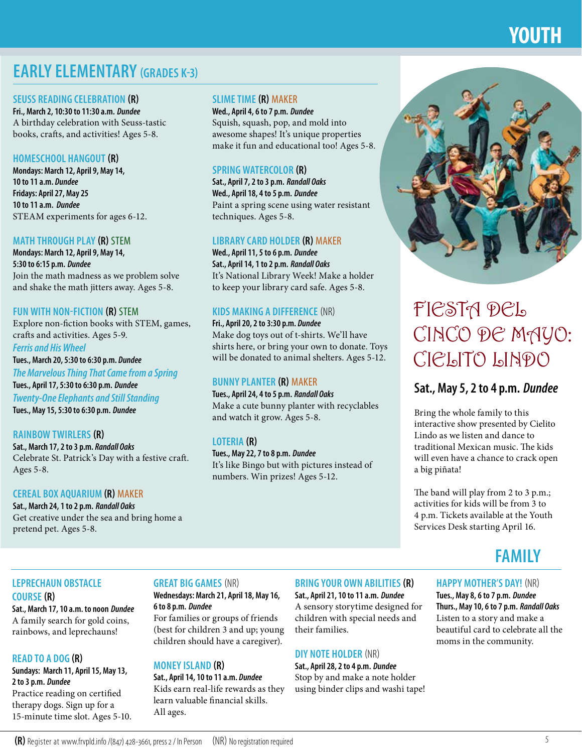# **YOUTH**

# **EARLY ELEMENTARY (GRADES K-3)**

#### **SEUSS READING CELEBRATION (R)**

**Fri., March 2, 10:30 to 11:30 a.m.** *Dundee* A birthday celebration with Seuss-tastic books, crafts, and activities! Ages 5-8.

#### **HOMESCHOOL HANGOUT (R)**

**Mondays: March 12, April 9, May 14, 10 to 11 a.m.** *Dundee* **Fridays: April 27, May 25 10 to 11 a.m.** *Dundee* STEAM experiments for ages 6-12.

#### **MATH THROUGH PLAY (R)** STEM

**Mondays: March 12, April 9, May 14, 5:30 to 6:15 p.m.** *Dundee* Join the math madness as we problem solve and shake the math jitters away. Ages 5-8.

#### **FUN WITH NON-FICTION (R)** STEM

Explore non-fiction books with STEM, games, crafts and activities. Ages 5-9. *Ferris and His Wheel*

### **Tues., March 20, 5:30 to 6:30 p.m.** *Dundee*

*The Marvelous Thing That Came from a Spring* **Tues., April 17, 5:30 to 6:30 p.m.** *Dundee Twenty-One Elephants and Still Standing* **Tues., May 15, 5:30 to 6:30 p.m.** *Dundee*

#### **RAINBOW TWIRLERS (R) Sat., March 17, 2 to 3 p.m.** *Randall Oaks* Celebrate St. Patrick's Day with a festive craft. Ages 5-8.

#### **CEREAL BOX AQUARIUM (R)** MAKER

**Sat., March 24, 1 to 2 p.m.** *Randall Oaks* Get creative under the sea and bring home a pretend pet. Ages 5-8.

#### **SLIME TIME (R)** MAKER

**Wed., April 4, 6 to 7 p.m.** *Dundee* Squish, squash, pop, and mold into awesome shapes! It's unique properties make it fun and educational too! Ages 5-8.

#### **SPRING WATERCOLOR (R)**

**Sat., April 7, 2 to 3 p.m.** *Randall Oaks* **Wed., April 18, 4 to 5 p.m.** *Dundee* Paint a spring scene using water resistant techniques. Ages 5-8.

#### **LIBRARY CARD HOLDER (R)** MAKER

**Wed., April 11, 5 to 6 p.m.** *Dundee* **Sat., April 14, 1 to 2 p.m.** *Randall Oaks* It's National Library Week! Make a holder to keep your library card safe. Ages 5-8.

#### **KIDS MAKING A DIFFERENCE** (NR)

**Fri., April 20, 2 to 3:30 p.m.** *Dundee* Make dog toys out of t-shirts. We'll have shirts here, or bring your own to donate. Toys will be donated to animal shelters. Ages 5-12.

#### **BUNNY PLANTER (R)** MAKER

**Tues., April 24, 4 to 5 p.m.** *Randall Oaks* Make a cute bunny planter with recyclables and watch it grow. Ages 5-8.

#### **LOTERIA (R) Tues., May 22, 7 to 8 p.m.** *Dundee* It's like Bingo but with pictures instead of numbers. Win prizes! Ages 5-12.



# FIESTA DEL CINCO DE MAYO: CIELITO LINDO

#### **Sat., May 5, 2 to 4 p.m.** *Dundee*

Bring the whole family to this interactive show presented by Cielito Lindo as we listen and dance to traditional Mexican music. The kids will even have a chance to crack open a big piñata!

The band will play from 2 to 3 p.m.; activities for kids will be from 3 to 4 p.m. Tickets available at the Youth Services Desk starting April 16.

# **FAMILY**

### **LEPRECHAUN OBSTACLE**

#### **COURSE (R)**

**Sat., March 17, 10 a.m. to noon** *Dundee* A family search for gold coins, rainbows, and leprechauns!

#### **READ TO A DOG (R)**

**Sundays: March 11, April 15, May 13, 2 to 3 p.m.** *Dundee* Practice reading on certified therapy dogs. Sign up for a 15-minute time slot. Ages 5-10.

#### **GREAT BIG GAMES** (NR)

#### **Wednesdays: March 21, April 18, May 16, 6 to 8 p.m.** *Dundee*

For families or groups of friends (best for children 3 and up; young children should have a caregiver).

#### **MONEY ISLAND (R)**

**Sat., April 14, 10 to 11 a.m.** *Dundee* Kids earn real-life rewards as they learn valuable financial skills. All ages.

#### **BRING YOUR OWN ABILITIES (R)**

**Sat., April 21, 10 to 11 a.m.** *Dundee* A sensory storytime designed for children with special needs and their families.

#### **DIY NOTE HOLDER** (NR)

**Sat., April 28, 2 to 4 p.m.** *Dundee* Stop by and make a note holder using binder clips and washi tape!

#### **HAPPY MOTHER'S DAY!** (NR)

**Tues., May 8, 6 to 7 p.m.** *Dundee* **Thurs., May 10, 6 to 7 p.m.** *Randall Oaks* Listen to a story and make a beautiful card to celebrate all the moms in the community.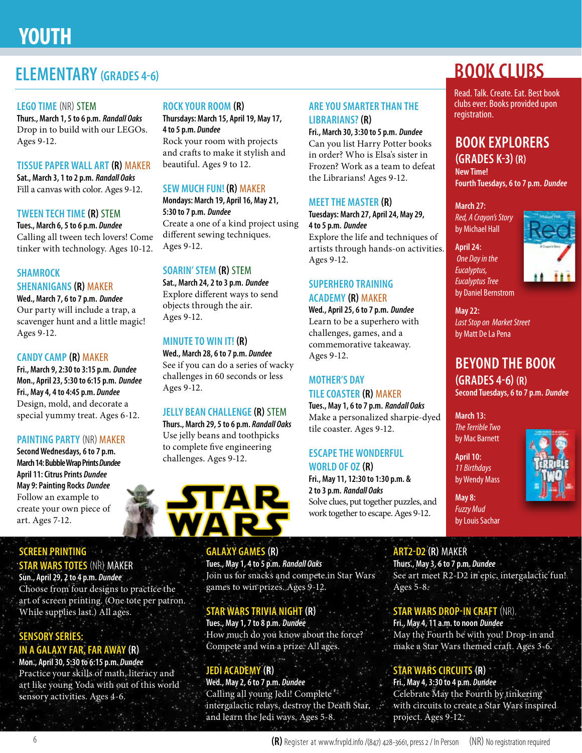# **YOUTH**

### **ELEMENTARY (GRADES 4-6)**

#### **LEGO TIME** (NR) STEM

**Thurs., March 1, 5 to 6 p.m.** *Randall Oaks* Drop in to build with our LEGOs. Ages 9-12.

#### **TISSUE PAPER WALL ART (R)** MAKER

**Sat., March 3, 1 to 2 p.m.** *Randall Oaks* Fill a canvas with color. Ages 9-12.

#### **TWEEN TECH TIME (R)** STEM

**Tues., March 6, 5 to 6 p.m.** *Dundee* Calling all tween tech lovers! Come tinker with technology. Ages 10-12.

#### **SHAMROCK**

#### **SHENANIGANS (R)** MAKER

**Wed., March 7, 6 to 7 p.m.** *Dundee* Our party will include a trap, a scavenger hunt and a little magic! Ages 9-12.

#### **CANDY CAMP (R)** MAKER

**Fri., March 9, 2:30 to 3:15 p.m.** *Dundee* **Mon., April 23, 5:30 to 6:15 p.m.** *Dundee* **Fri., May 4, 4 to 4:45 p.m.** *Dundee* Design, mold, and decorate a special yummy treat. Ages 6-12.

#### **PAINTING PARTY** (NR) MAKER

**Second Wednesdays, 6 to 7 p.m. March 14: Bubble Wrap Prints** *Dundee* **April 11: Citrus Prints** *Dundee* **May 9: Painting Rocks** *Dundee* Follow an example to create your own piece of art. Ages 7-12.

#### **SCREEN PRINTING STAR WARS TOTES** (NR) MAKER

**Sun., April 29, 2 to 4 p.m.** *Dundee* Choose from four designs to practice the art of screen printing. (One tote per patron. While supplies last.) All ages.

#### **SENSORY SERIES: IN A GALAXY FAR, FAR AWAY (R)**

**Mon., April 30, 5:30 to 6:15 p.m.** *Dundee* Practice your skills of math, literacy and art like young Yoda with out of this world sensory activities. Ages 4-6.

#### **ROCK YOUR ROOM (R)**

**Thursdays: March 15, April 19, May 17, 4 to 5 p.m.** *Dundee* Rock your room with projects and crafts to make it stylish and

# beautiful. Ages 9 to 12.

#### **SEW MUCH FUN! (R)** MAKER **Mondays: March 19, April 16, May 21,**

**5:30 to 7 p.m.** *Dundee* Create a one of a kind project using different sewing techniques. Ages 9-12.

#### **SOARIN' STEM (R)** STEM

**Sat., March 24, 2 to 3 p.m.** *Dundee* Explore different ways to send objects through the air. Ages 9-12.

#### **MINUTE TO WIN IT! (R)**

**Wed., March 28, 6 to 7 p.m.** *Dundee* See if you can do a series of wacky challenges in 60 seconds or less Ages 9-12.

#### **JELLY BEAN CHALLENGE (R)** STEM

**Thurs., March 29, 5 to 6 p.m.** *Randall Oaks* Use jelly beans and toothpicks to complete five engineering challenges. Ages 9-12.



#### **GALAXY GAMES (R)**

**Tues., May 1, 4 to 5 p.m.** *Randall Oaks* Join us for snacks and compete in Star Wars games to win prizes. Ages 9-12.

#### **STAR WARS TRIVIA NIGHT (R)**

**Tues., May 1, 7 to 8 p.m.** *Dundee* How much do you know about the force? Compete and win a prize. All ages.

#### **JEDI ACADEMY (R)**

**Wed., May 2, 6 to 7 p.m.** *Dundee* Calling all young Jedi! Complete intergalactic relays, destroy the Death Star, and learn the Jedi ways. Ages 5-8.

#### **ARE YOU SMARTER THAN THE LIBRARIANS? (R)**

**Fri., March 30, 3:30 to 5 p.m.** *Dundee* Can you list Harry Potter books in order? Who is Elsa's sister in Frozen? Work as a team to defeat the Librarians! Ages 9-12.

#### **MEET THE MASTER (R)**

**Tuesdays: March 27, April 24, May 29, 4 to 5 p.m.** *Dundee* Explore the life and techniques of

artists through hands-on activities. Ages 9-12.

#### **SUPERHERO TRAINING ACADEMY (R)** MAKER

**Wed., April 25, 6 to 7 p.m.** *Dundee* Learn to be a superhero with challenges, games, and a commemorative takeaway. Ages 9-12.

#### **MOTHER'S DAY TILE COASTER (R)** MAKER

**Tues., May 1, 6 to 7 p.m.** *Randall Oaks* Make a personalized sharpie-dyed tile coaster. Ages 9-12.

#### **ESCAPE THE WONDERFUL WORLD OF OZ (R)**

**Fri., May 11, 12:30 to 1:30 p.m. & 2 to 3 p.m.** *Randall Oaks* Solve clues, put together puzzles, and work together to escape. Ages 9-12.

# **BOOK CLUBS**

Read. Talk. Create. Eat. Best book clubs ever. Books provided upon registration.

# **BOOK EXPLORERS**

**(GRADES K-3) (R) New Time! Fourth Tuesdays, 6 to 7 p.m.** *Dundee*

**March 27:**  *Red, A Crayon's Story*  by Michael Hall

**April 24:**  *One Day in the Eucalyptus, Eucalyptus Tree* by Daniel Bernstrom



**May 22:**  *Last Stop on Market Street* by Matt De La Pena

### **BEYOND THE BOOK (GRADES 4-6) (R)**

**Second Tuesdays, 6 to 7 p.m.** *Dundee*

**March 13:**  *The Terrible Two* by Mac Barnett

**April 10:**  *11 Birthdays* by Wendy Mass

**May 8:**  *Fuzzy Mud*



# by Louis Sachar

**ART2-D2 (R)** MAKER **Thurs., May 3, 6 to 7 p.m.** *Dundee* See art meet R2-D2 in epic, intergalactic fun! Ages  $5-8$ .

### **STAR WARS DROP-IN CRAFT** (NR)

**Fri., May 4, 11 a.m. to noon** *Dundee* May the Fourth be with you! Drop-in and make a Star Wars themed craft. Ages 3-6.

### **STAR WARS CIRCUITS (R)**

**Fri., May 4, 3:30 to 4 p.m.** *Dundee* Celebrate May the Fourth by tinkering with circuits to create a Star Wars inspired project. Ages 9-12.

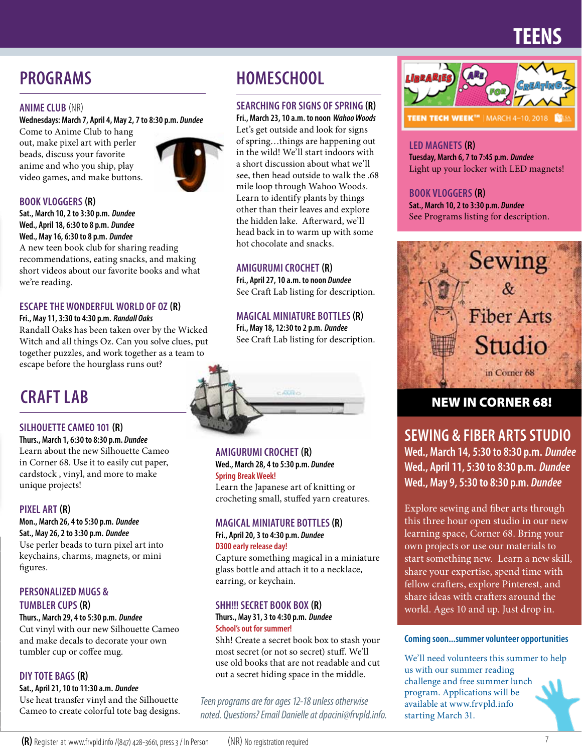# **TEENS**

# **PROGRAMS**

#### **ANIME CLUB** (NR)

**Wednesdays: March 7, April 4, May 2, 7 to 8:30 p.m.** *Dundee*

Come to Anime Club to hang out, make pixel art with perler beads, discuss your favorite anime and who you ship, play video games, and make buttons.



#### **BOOK VLOGGERS (R)**

**Sat., March 10, 2 to 3:30 p.m.** *Dundee* **Wed., April 18, 6:30 to 8 p.m.** *Dundee* **Wed., May 16, 6:30 to 8 p.m.** *Dundee*

A new teen book club for sharing reading recommendations, eating snacks, and making short videos about our favorite books and what we're reading.

#### **ESCAPE THE WONDERFUL WORLD OF OZ (R)**

#### **Fri., May 11, 3:30 to 4:30 p.m.** *Randall Oaks*

Randall Oaks has been taken over by the Wicked Witch and all things Oz. Can you solve clues, put together puzzles, and work together as a team to escape before the hourglass runs out?

# **CRAFT LAB**

#### **SILHOUETTE CAMEO 101 (R)**

**Thurs., March 1, 6:30 to 8:30 p.m.** *Dundee* Learn about the new Silhouette Cameo in Corner 68. Use it to easily cut paper, cardstock , vinyl, and more to make unique projects!

#### **PIXEL ART (R)**

**Mon., March 26, 4 to 5:30 p.m.** *Dundee* **Sat., May 26, 2 to 3:30 p.m.** *Dundee*

Use perler beads to turn pixel art into keychains, charms, magnets, or mini figures.

#### **PERSONALIZED MUGS &**

#### **TUMBLER CUPS (R)**

#### **Thurs., March 29, 4 to 5:30 p.m.** *Dundee*

Cut vinyl with our new Silhouette Cameo and make decals to decorate your own tumbler cup or coffee mug.

#### **DIY TOTE BAGS (R)**

**Sat., April 21, 10 to 11:30 a.m.** *Dundee* Use heat transfer vinyl and the Silhouette Cameo to create colorful tote bag designs.

### **HOMESCHOOL**

#### **SEARCHING FOR SIGNS OF SPRING (R)**

**Fri., March 23, 10 a.m. to noon** *Wahoo Woods* Let's get outside and look for signs of spring…things are happening out in the wild! We'll start indoors with a short discussion about what we'll see, then head outside to walk the .68 mile loop through Wahoo Woods. Learn to identify plants by things other than their leaves and explore the hidden lake. Afterward, we'll head back in to warm up with some hot chocolate and snacks.

#### **AMIGURUMI CROCHET (R)**

**Fri., April 27, 10 a.m. to noon** *Dundee* See Craft Lab listing for description.

#### **MAGICAL MINIATURE BOTTLES (R)**

**Fri., May 18, 12:30 to 2 p.m.** *Dundee* See Craft Lab listing for description.



**AMIGURUMI CROCHET (R) Wed., March 28, 4 to 5:30 p.m.** *Dundee* **Spring Break Week!**

Learn the Japanese art of knitting or crocheting small, stuffed yarn creatures.

#### **MAGICAL MINIATURE BOTTLES (R)**

#### **Fri., April 20, 3 to 4:30 p.m.** *Dundee* **D300 early release day!**

Capture something magical in a miniature glass bottle and attach it to a necklace, earring, or keychain.

#### **SHH!!! SECRET BOOK BOX (R)**

#### **Thurs., May 31, 3 to 4:30 p.m.** *Dundee* **School's out for summer!**

Shh! Create a secret book box to stash your most secret (or not so secret) stuff. We'll use old books that are not readable and cut out a secret hiding space in the middle.

*Teen programs are for ages 12-18 unless otherwise noted. Questions? Email Danielle at dpacini@frvpld.info.*



#### **LED MAGNETS (R)**

**Tuesday, March 6, 7 to 7:45 p.m.** *Dundee* Light up your locker with LED magnets!

#### **BOOK VLOGGERS (R)**

**Sat., March 10, 2 to 3:30 p.m.** *Dundee* See Programs listing for description.



### NEW IN CORNER 68!

**SEWING & FIBER ARTS STUDIO Wed., March 14, 5:30 to 8:30 p.m.** *Dundee* **Wed., April 11, 5:30 to 8:30 p.m.** *Dundee*

**Wed., May 9, 5:30 to 8:30 p.m.** *Dundee*

Explore sewing and fiber arts through this three hour open studio in our new learning space, Corner 68. Bring your own projects or use our materials to start something new. Learn a new skill, share your expertise, spend time with fellow crafters, explore Pinterest, and share ideas with crafters around the world. Ages 10 and up. Just drop in.

#### **Coming soon...summer volunteer opportunities**

We'll need volunteers this summer to help us with our summer reading challenge and free summer lunch program. Applications will be available at www.frvpld.info starting March 31.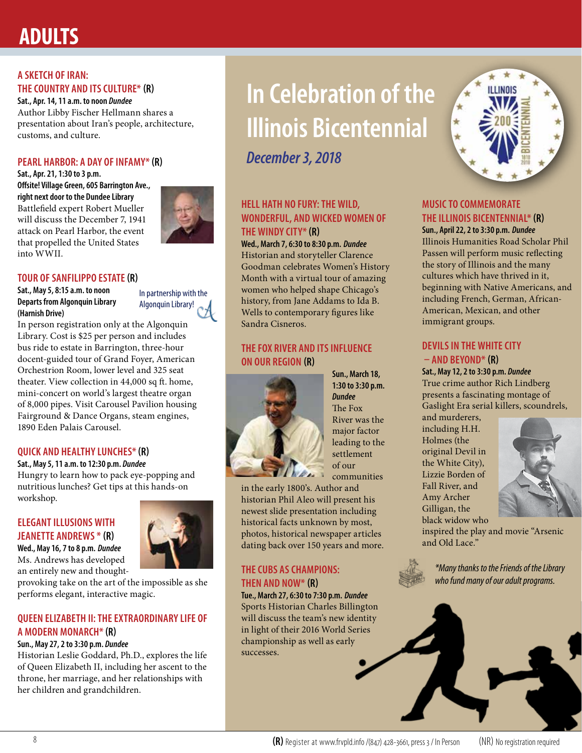# **ADULTS**

#### **A SKETCH OF IRAN: THE COUNTRY AND ITS CULTURE\* (R)**

**Sat., Apr. 14, 11 a.m. to noon** *Dundee* Author Libby Fischer Hellmann shares a presentation about Iran's people, architecture, customs, and culture.

#### **PEARL HARBOR: A DAY OF INFAMY\* (R)**

**Sat., Apr. 21, 1:30 to 3 p.m. Offsite! Village Green, 605 Barrington Ave., right next door to the Dundee Library** Battlefield expert Robert Mueller will discuss the December 7, 1941 attack on Pearl Harbor, the event that propelled the United States into WWII.



#### **TOUR OF SANFILIPPO ESTATE (R)**

**Sat., May 5, 8:15 a.m. to noon Departs from Algonquin Library (Harnish Drive)**

In partnership with the Algonquin Library!

In person registration only at the Algonquin Library. Cost is \$25 per person and includes bus ride to estate in Barrington, three-hour docent-guided tour of Grand Foyer, American Orchestrion Room, lower level and 325 seat theater. View collection in 44,000 sq ft. home, mini-concert on world's largest theatre organ of 8,000 pipes. Visit Carousel Pavilion housing Fairground & Dance Organs, steam engines, 1890 Eden Palais Carousel.

#### **QUICK AND HEALTHY LUNCHES\* (R)**

**Sat., May 5, 11 a.m. to 12:30 p.m.** *Dundee* Hungry to learn how to pack eye-popping and nutritious lunches? Get tips at this hands-on workshop.

#### **ELEGANT ILLUSIONS WITH JEANETTE ANDREWS \* (R)**

**Wed., May 16, 7 to 8 p.m.** *Dundee* Ms. Andrews has developed an entirely new and thought-

provoking take on the art of the impossible as she performs elegant, interactive magic.

#### **QUEEN ELIZABETH II: THE EXTRAORDINARY LIFE OF A MODERN MONARCH\* (R)**

#### **Sun., May 27, 2 to 3:30 p.m.** *Dundee*

Historian Leslie Goddard, Ph.D., explores the life of Queen Elizabeth II, including her ascent to the throne, her marriage, and her relationships with her children and grandchildren.

# **In Celebration of the Illinois Bicentennial**

*December 3, 2018*

#### **HELL HATH NO FURY: THE WILD, WONDERFUL, AND WICKED WOMEN OF THE WINDY CITY\* (R)**

**Wed., March 7, 6:30 to 8:30 p.m.** *Dundee* Historian and storyteller Clarence Goodman celebrates Women's History Month with a virtual tour of amazing women who helped shape Chicago's history, from Jane Addams to Ida B. Wells to contemporary figures like Sandra Cisneros.

#### **THE FOX RIVER AND ITS INFLUENCE ON OUR REGION (R)**



**Sun., March 18, 1:30 to 3:30 p.m.** *Dundee* The Fox River was the major factor leading to the settlement of our communities

in the early 1800's. Author and historian Phil Aleo will present his newest slide presentation including historical facts unknown by most, photos, historical newspaper articles dating back over 150 years and more.

#### **THE CUBS AS CHAMPIONS: THEN AND NOW\* (R)**

**Tue., March 27, 6:30 to 7:30 p.m.** *Dundee* Sports Historian Charles Billington will discuss the team's new identity in light of their 2016 World Series championship as well as early successes.



#### **MUSIC TO COMMEMORATE THE ILLINOIS BICENTENNIAL\* (R)**

**Sun., April 22, 2 to 3:30 p.m.** *Dundee* Illinois Humanities Road Scholar Phil Passen will perform music reflecting the story of Illinois and the many cultures which have thrived in it, beginning with Native Americans, and including French, German, African-American, Mexican, and other immigrant groups.

#### **DEVILS IN THE WHITE CITY – AND BEYOND\* (R)**

**Sat., May 12, 2 to 3:30 p.m.** *Dundee* True crime author Rich Lindberg presents a fascinating montage of Gaslight Era serial killers, scoundrels,

and murderers, including H.H. Holmes (the original Devil in the White City), Lizzie Borden of Fall River, and Amy Archer Gilligan, the black widow who



inspired the play and movie "Arsenic and Old Lace."



*\*Many thanks to the Friends of the Library who fund many of our adult programs.*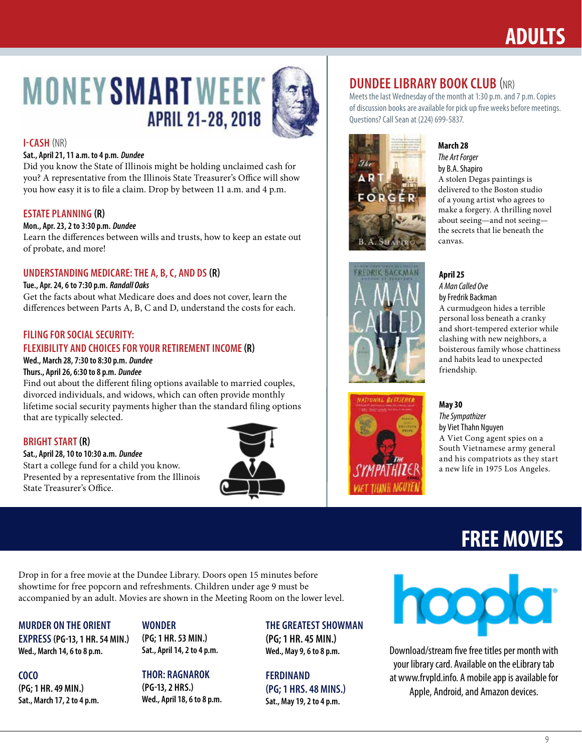# **ADULTS**

# **MONEY SMART WEEK APRIL 21-28, 2018**



#### **I-CASH** (NR)

#### **Sat., April 21, 11 a.m. to 4 p.m.** *Dundee*

Did you know the State of Illinois might be holding unclaimed cash for you? A representative from the Illinois State Treasurer's Office will show you how easy it is to file a claim. Drop by between 11 a.m. and 4 p.m.

#### **ESTATE PLANNING (R)**

#### **Mon., Apr. 23, 2 to 3:30 p.m.** *Dundee*

Learn the differences between wills and trusts, how to keep an estate out of probate, and more!

#### **UNDERSTANDING MEDICARE: THE A, B, C, AND DS (R)**

#### **Tue., Apr. 24, 6 to 7:30 p.m.** *Randall Oaks*

Get the facts about what Medicare does and does not cover, learn the differences between Parts A, B, C and D, understand the costs for each.

#### **FILING FOR SOCIAL SECURITY: FLEXIBILITY AND CHOICES FOR YOUR RETIREMENT INCOME (R)**

#### **Wed., March 28, 7:30 to 8:30 p.m.** *Dundee*

#### **Thurs., April 26, 6:30 to 8 p.m.** *Dundee*

Find out about the different filing options available to married couples, divorced individuals, and widows, which can often provide monthly lifetime social security payments higher than the standard filing options that are typically selected.

#### **BRIGHT START (R)**

**Sat., April 28, 10 to 10:30 a.m.** *Dundee* Start a college fund for a child you know. Presented by a representative from the Illinois State Treasurer's Office.



#### **DUNDEE LIBRARY BOOK CLUB (NR)**

Meets the last Wednesday of the month at 1:30 p.m. and 7 p.m. Copies of discussion books are available for pick up five weeks before meetings. Questions? Call Sean at (224) 699-5837.



### **March 28**

*The Art Forger* by B.A. Shapiro A stolen Degas paintings is delivered to the Boston studio of a young artist who agrees to make a forgery. A thrilling novel about seeing—and not seeing the secrets that lie beneath the canvas.





#### **April 25** *A Man Called Ove*

by Fredrik Backman A curmudgeon hides a terrible personal loss beneath a cranky and short-tempered exterior while clashing with new neighbors, a boisterous family whose chattiness and habits lead to unexpected friendship.

**May 30** *The Sympathizer* by Viet Thahn Nguyen A Viet Cong agent spies on a South Vietnamese army general and his compatriots as they start a new life in 1975 Los Angeles.

# **FREE MOVIES**

Drop in for a free movie at the Dundee Library. Doors open 15 minutes before showtime for free popcorn and refreshments. Children under age 9 must be accompanied by an adult. Movies are shown in the Meeting Room on the lower level.

#### **MURDER ON THE ORIENT**

**EXPRESS (PG-13, 1 HR. 54 MIN.) Wed., March 14, 6 to 8 p.m.**

**COCO (PG; 1 HR. 49 MIN.) Sat., March 17, 2 to 4 p.m.** 

#### **WONDER (PG; 1 HR. 53 MIN.) Sat., April 14, 2 to 4 p.m.**

**THOR: RAGNAROK (PG-13, 2 HRS.) Wed., April 18, 6 to 8 p.m.**

#### **THE GREATEST SHOWMAN**

**(PG; 1 HR. 45 MIN.) Wed., May 9, 6 to 8 p.m.**

#### **FERDINAND (PG; 1 HRS. 48 MINS.) Sat., May 19, 2 to 4 p.m.**



Download/stream five free titles per month with your library card. Available on the eLibrary tab at www.frvpld.info. A mobile app is available for Apple, Android, and Amazon devices.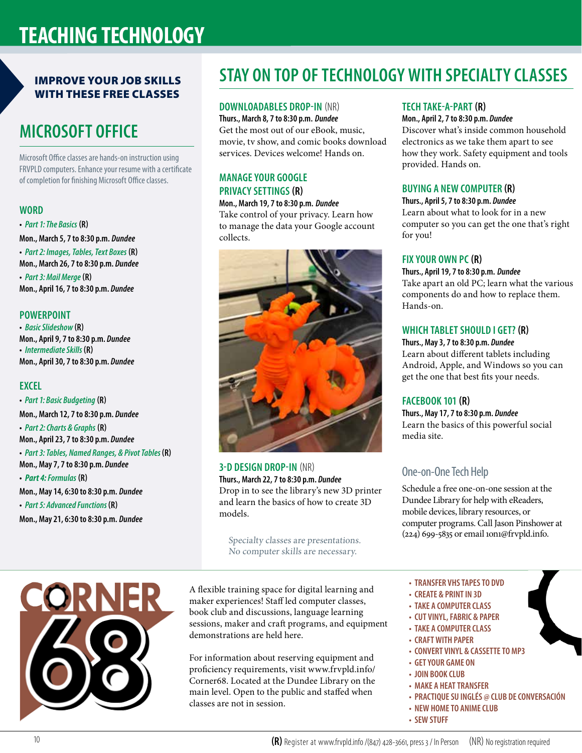# **TEACHING TECHNOLOGY**

#### IMPROVE YOUR JOB SKILLS WITH THESE FREE CLASSES

# **MICROSOFT OFFICE**

Microsoft Office classes are hands-on instruction using FRVPLD computers. Enhance your resume with a certificate of completion for finishing Microsoft Office classes.

#### **WORD**

**•** *Part 1: The Basics* **(R) Mon., March 5, 7 to 8:30 p.m.** *Dundee* **•** *Part 2: Images, Tables, Text Boxes* **(R) Mon., March 26, 7 to 8:30 p.m.** *Dundee* **•** *Part 3: Mail Merge* **(R) Mon., April 16, 7 to 8:30 p.m.** *Dundee*

#### **POWERPOINT**

**•** *Basic Slideshow* **(R) Mon., April 9, 7 to 8:30 p.m.** *Dundee* **•** *Intermediate Skills* **(R) Mon., April 30, 7 to 8:30 p.m.** *Dundee*

#### **EXCEL**

**•** *Part 1: Basic Budgeting* **(R) Mon., March 12, 7 to 8:30 p.m.** *Dundee* **•** *Part 2: Charts & Graphs* **(R) Mon., April 23, 7 to 8:30 p.m.** *Dundee* **•** *Part 3: Tables, Named Ranges, & Pivot Tables* **(R) Mon., May 7, 7 to 8:30 p.m.** *Dundee* **•** *Part 4: Formulas* **(R) Mon., May 14, 6:30 to 8:30 p.m.** *Dundee* **•** *Part 5: Advanced Functions* **(R) Mon., May 21, 6:30 to 8:30 p.m.** *Dundee*



# **STAY ON TOP OF TECHNOLOGY WITH SPECIALTY CLASSES**

#### **DOWNLOADABLES DROP-IN** (NR)

**Thurs., March 8, 7 to 8:30 p.m.** *Dundee* Get the most out of our eBook, music, movie, tv show, and comic books download services. Devices welcome! Hands on.

#### **MANAGE YOUR GOOGLE PRIVACY SETTINGS (R)**

#### **Mon., March 19, 7 to 8:30 p.m.** *Dundee*

Take control of your privacy. Learn how to manage the data your Google account collects.



#### **3-D DESIGN DROP-IN** (NR) **Thurs., March 22, 7 to 8:30 p.m.** *Dundee* Drop in to see the library's new 3D printer and learn the basics of how to create 3D models.

Specialty classes are presentations. No computer skills are necessary.

A flexible training space for digital learning and maker experiences! Staff led computer classes, book club and discussions, language learning sessions, maker and craft programs, and equipment demonstrations are held here.

For information about reserving equipment and proficiency requirements, visit www.frvpld.info/ Corner68. Located at the Dundee Library on the main level. Open to the public and staffed when classes are not in session.

#### **TECH TAKE-A-PART (R)**

#### **Mon., April 2, 7 to 8:30 p.m.** *Dundee*

Discover what's inside common household electronics as we take them apart to see how they work. Safety equipment and tools provided. Hands on.

#### **BUYING A NEW COMPUTER (R)**

**Thurs., April 5, 7 to 8:30 p.m.** *Dundee* Learn about what to look for in a new computer so you can get the one that's right for you!

#### **FIX YOUR OWN PC (R)**

**Thurs., April 19, 7 to 8:30 p.m.** *Dundee* Take apart an old PC; learn what the various components do and how to replace them. Hands-on.

#### **WHICH TABLET SHOULD I GET? (R)**

**Thurs., May 3, 7 to 8:30 p.m.** *Dundee* Learn about different tablets including Android, Apple, and Windows so you can get the one that best fits your needs.

#### **FACEBOOK 101 (R)**

**Thurs., May 17, 7 to 8:30 p.m.** *Dundee* Learn the basics of this powerful social media site.

#### One-on-One Tech Help

Schedule a free one-on-one session at the Dundee Library for help with eReaders, mobile devices, library resources, or computer programs. Call Jason Pinshower at  $(224)$  699-5835 or email 1on1@frvpld.info.

- **TRANSFER VHS TAPES TO DVD**
- **CREATE & PRINT IN 3D**
- **TAKE A COMPUTER CLASS**
- **CUT VINYL, FABRIC & PAPER**
- **TAKE A COMPUTER CLASS**
- **CRAFT WITH PAPER**
- **CONVERT VINYL & CASSETTE TO MP3**
- **GET YOUR GAME ON**
- **JOIN BOOK CLUB**
- **MAKE A HEAT TRANSFER**
- **PRACTIQUE SU INGLÉS @ CLUB DE CONVERSACIÓN**
- **NEW HOME TO ANIME CLUB**
- **SEW STUFF**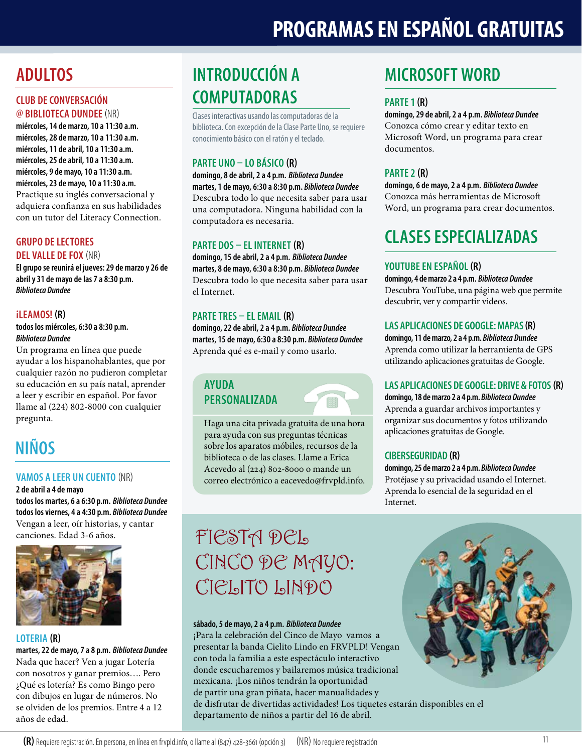# **PROGRAMAS EN ESPAÑOL GRATUITAS**

# **ADULTOS**

#### **CLUB DE CONVERSACIÓN @ BIBLIOTECA DUNDEE** (NR)

**miércoles, 14 de marzo, 10 a 11:30 a.m. miércoles, 28 de marzo, 10 a 11:30 a.m. miércoles, 11 de abril, 10 a 11:30 a.m. miércoles, 25 de abril, 10 a 11:30 a.m. miércoles, 9 de mayo, 10 a 11:30 a.m. miércoles, 23 de mayo, 10 a 11:30 a.m.** Practique su inglés conversacional y adquiera confianza en sus habilidades con un tutor del Literacy Connection.

#### **GRUPO DE LECTORES DEL VALLE DE FOX** (NR)

**El grupo se reunirá el jueves: 29 de marzo y 26 de abril y 31 de mayo de las 7 a 8:30 p.m.**  *Biblioteca Dundee*

#### **¡LEAMOS! (R)**

#### **todos los miércoles, 6:30 a 8:30 p.m.** *Biblioteca Dundee*

Un programa en línea que puede ayudar a los hispanohablantes, que por cualquier razón no pudieron completar su educación en su país natal, aprender a leer y escribir en español. Por favor llame al (224) 802-8000 con cualquier pregunta.

# **NIÑOS**

#### **VAMOS A LEER UN CUENTO** (NR)

**2 de abril a 4 de mayo todos los martes, 6 a 6:30 p.m.** *Biblioteca Dundee* **todos los viernes, 4 a 4:30 p.m.** *Biblioteca Dundee* Vengan a leer, oír historias, y cantar canciones. Edad 3-6 años.



#### **LOTERIA (R)**

**martes, 22 de mayo, 7 a 8 p.m.** *Biblioteca Dundee* Nada que hacer? Ven a jugar Lotería con nosotros y ganar premios…. Pero ¿Qué es lotería? Es como Bingo pero con dibujos en lugar de números. No se olviden de los premios. Entre 4 a 12 años de edad.

# **INTRODUCCIÓN A COMPUTADORAS**

Clases interactivas usando las computadoras de la biblioteca. Con excepción de la Clase Parte Uno, se requiere conocimiento básico con el ratón y el teclado.

#### **PARTE UNO – LO BÁSICO (R)**

**domingo, 8 de abril, 2 a 4 p.m.** *Biblioteca Dundee* **martes, 1 de mayo, 6:30 a 8:30 p.m.** *Biblioteca Dundee* Descubra todo lo que necesita saber para usar una computadora. Ninguna habilidad con la computadora es necesaria.

#### **PARTE DOS – EL INTERNET (R)**

**domingo, 15 de abril, 2 a 4 p.m.** *Biblioteca Dundee* **martes, 8 de mayo, 6:30 a 8:30 p.m.** *Biblioteca Dundee* Descubra todo lo que necesita saber para usar el Internet.

#### **PARTE TRES – EL EMAIL (R)**

**domingo, 22 de abril, 2 a 4 p.m.** *Biblioteca Dundee* **martes, 15 de mayo, 6:30 a 8:30 p.m.** *Biblioteca Dundee* Aprenda qué es e-mail y como usarlo.

#### **AYUDA PERSONALIZADA**



Haga una cita privada gratuita de una hora para ayuda con sus preguntas técnicas sobre los aparatos móbiles, recursos de la biblioteca o de las clases. Llame a Erica Acevedo al (224) 802-8000 o mande un correo electrónico a eacevedo@frvpld.info.

# **MICROSOFT WORD**

#### **PARTE 1 (R)**

**domingo, 29 de abril, 2 a 4 p.m.** *Biblioteca Dundee* Conozca cómo crear y editar texto en Microsoft Word, un programa para crear documentos.

#### **PARTE 2 (R)**

**domingo, 6 de mayo, 2 a 4 p.m.** *Biblioteca Dundee* Conozca más herramientas de Microsoft Word, un programa para crear documentos.

# **CLASES ESPECIALIZADAS**

#### **YOUTUBE EN ESPAÑOL (R)**

**domingo, 4 de marzo 2 a 4 p.m.** *Biblioteca Dundee* Descubra YouTube, una página web que permite descubrir, ver y compartir videos.

#### **LAS APLICACIONES DE GOOGLE: MAPAS (R)**

**domingo, 11 de marzo, 2 a 4 p.m.** *Biblioteca Dundee* Aprenda como utilizar la herramienta de GPS utilizando aplicaciones gratuitas de Google.

#### **LAS APLICACIONES DE GOOGLE: DRIVE & FOTOS(R)**

**domingo, 18 de marzo 2 a 4 p.m.** *Biblioteca Dundee* Aprenda a guardar archivos importantes y organizar sus documentos y fotos utilizando aplicaciones gratuitas de Google.

#### **CIBERSEGURIDAD (R)**

**domingo, 25 de marzo 2 a 4 p.m.** *Biblioteca Dundee* Protéjase y su privacidad usando el Internet. Aprenda lo esencial de la seguridad en el Internet.

# FIESTA DEL CINCO DE MAYO: CIELITO LINDO

#### **sábado, 5 de mayo, 2 a 4 p.m.** *Biblioteca Dundee*

¡Para la celebración del Cinco de Mayo vamos a presentar la banda Cielito Lindo en FRVPLD! Vengan con toda la familia a este espectáculo interactivo donde escucharemos y bailaremos música tradicional mexicana. ¡Los niños tendrán la oportunidad de partir una gran piñata, hacer manualidades y de disfrutar de divertidas actividades! Los tiquetes estarán disponibles en el departamento de niños a partir del 16 de abril.